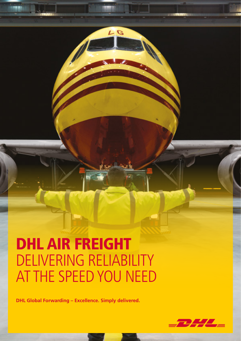# DHL AIR FREIGHT DELIVERING RELIABILITY AT THE SPEED YOU NEED

LG

**DHL Global Forwarding – Excellence. Simply delivered.**

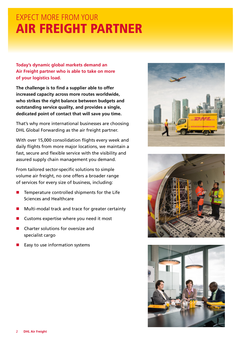## EXPECT MORE FROM YOUR AIR FREIGHT PARTNER

**Today's dynamic global markets demand an Air Freight partner who is able to take on more of your logistics load.**

**The challenge is to find a supplier able to offer increased capacity across more routes worldwide, who strikes the right balance between budgets and outstanding service quality, and provides a single, dedicated point of contact that will save you time.**

That's why more international businesses are choosing DHL Global Forwarding as the air freight partner.

With over 15,000 consolidation flights every week and daily flights from more major locations, we maintain a fast, secure and flexible service with the visibility and assured supply chain management you demand.

From tailored sector-specific solutions to simple volume air freight, no one offers a broader range of services for every size of business, including:

- $\blacksquare$  Temperature controlled shipments for the Life Sciences and Healthcare
- Multi-modal track and trace for greater certainty
- $\blacksquare$  Customs expertise where you need it most
- Charter solutions for oversize and specialist cargo
- Easy to use information systems





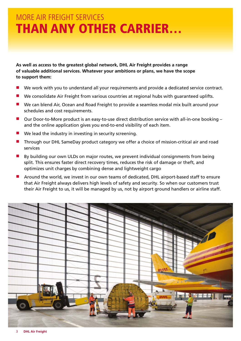## MORE AIR FREIGHT SERVICES THAN ANY OTHER CARRIER…

**As well as access to the greatest global network, DHL Air Freight provides a range of valuable additional services. Whatever your ambitions or plans, we have the scope to support them:**

- We work with you to understand all your requirements and provide a dedicated service contract.
- We consolidate Air Freight from various countries at regional hubs with guaranteed uplifts.
- **n** We can blend Air, Ocean and Road Freight to provide a seamless modal mix built around your schedules and cost requirements.
- $\blacksquare$  Our Door-to-More product is an easy-to-use direct distribution service with all-in-one booking and the online application gives you end-to-end visibility of each item.
- $\blacksquare$  We lead the industry in investing in security screening.
- Through our DHL SameDay product category we offer a choice of mission-critical air and road services
- $\blacksquare$  By building our own ULDs on major routes, we prevent individual consignments from being split. This ensures faster direct recovery times, reduces the risk of damage or theft, and optimizes unit charges by combining dense and lightweight cargo
- **n** Around the world, we invest in our own teams of dedicated, DHL airport-based staff to ensure that Air Freight always delivers high levels of safety and security. So when our customers trust their Air Freight to us, it will be managed by us, not by airport ground handlers or airline staff.

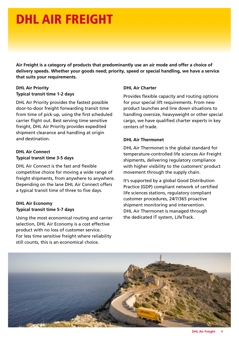# DHL AIR FREIGHT

**Air Freight is a category of products that predominantly use an air mode and offer a choice of delivery speeds. Whether your goods need; priority, speed or special handling, we have a service that suits your requirements.**

## **DHL Air Priority Typical transit time 1-2 days**

DHL Air Priority provides the fastest possible door-to-door freight forwarding transit time from time of pick-up, using the first scheduled carrier flight out. Best serving time sensitive freight, DHL Air Priority provides expedited shipment clearance and handling at origin and destination.

## **DHL Air Connect Typical transit time 3-5 days**

DHL Air Connect is the fast and flexible competitive choice for moving a wide range of freight shipments, from anywhere to anywhere. Depending on the lane DHL Air Connect offers a typical transit time of three to five days.

## **DHL Air Economy Typical transit time 5-7 days**

Using the most economical routing and carrier selection, DHL Air Economy is a cost effective product with no loss of customer service. For less time sensitive freight where reliability still counts, this is an economical choice.

## **DHL Air Charter**

Provides flexible capacity and routing options for your special lift requirements. From new product launches and line down situations to handling oversize, heavyweight or other special cargo, we have qualified charter experts in key centers of trade.

## **DHL Air Thermonet**

DHL Air Thermonet is the global standard for temperature-controlled life sciences Air Freight shipments, delivering regulatory compliance with higher visibility to the customers' product movement through the supply chain.

It's supported by a global Good Distribution Practice (GDP) compliant network of certified life sciences stations, regulatory compliant customer procedures, 24/7/365 proactive shipment monitoring and intervention. DHL Air Thermonet is managed through the dedicated IT system, LifeTrack.

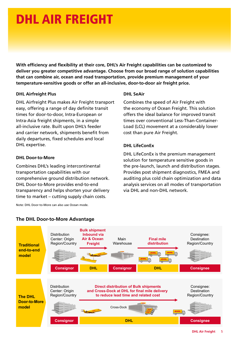# DHL AIR FREIGHT

**With efficiency and flexibility at their core, DHL's Air Freight capabilities can be customized to deliver you greater competitive advantage. Choose from our broad range of solution capabilities that can combine air, ocean and road transportation, provide premium management of your temperature-sensitive goods or offer an all-inclusive, door-to-door air freight price.**

## **DHL Airfreight Plus**

DHL Airfreight Plus makes Air Freight transport easy, offering a range of day definite transit times for door-to-door, Intra-European or Intra-Asia freight shipments, in a simple all-inclusive rate. Built upon DHL's feeder and carrier network, shipments benefit from daily departures, fixed schedules and local DHL expertise.

### **DHL Door-to-More**

Combines DHL's leading intercontinental transportation capabilities with our comprehensive ground distribution network. DHL Door-to-More provides end-to-end transparency and helps shorten your delivery time to market – cutting supply chain costs.

Note: DHL Door-to-More can also use Ocean mode.

times over conventional Less-Than-Container-Load (LCL) movement at a considerably lower cost than pure Air Freight.

Combines the speed of Air Freight with the economy of Ocean Freight. This solution offers the ideal balance for improved transit

## **DHL LifeConEx**

**DHL SeAir**

DHL LifeConEx is the premium management solution for temperature sensitive goods in the pre-launch, launch and distribution stages. Provides post shipment diagnostics, FMEA and auditing plus cold chain optimization and data analysis services on all modes of transportation via DHL and non-DHL network.



### $\sim$ Noro C<sub>ri</sub>orio de  $\mathbf{F}$ **Air & Ocean The DHL Door-to-More Advantage**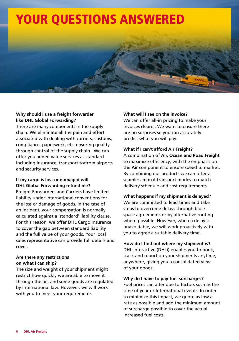

## **Why should I use a freight forwarder like DHL Global Forwarding?**

There are many components in the supply chain. We eliminate all the pain and effort associated with dealing with carriers, customs, compliance, paperwork, etc. ensuring quality through control of the supply chain. We can offer you added value services as standard including insurance, transport to/from airports and security services.

## **If my cargo is lost or damaged will DHL Global Forwarding refund me?**

Freight Forwarders and Carriers have limited liability under international conventions for the loss or damage of goods. In the case of an incident, your compensation is normally calculated against a 'standard' liability clause. For this reason, we offer DHL Cargo Insurance to cover the gap between standard liability and the full value of your goods. Your local sales representative can provide full details and cover.

## **Are there any restrictions on what I can ship?**

The size and weight of your shipment might restrict how quickly we are able to move it through the air, and some goods are regulated by international law. However, we will work with you to meet your requirements.

## **What will I see on the invoice?**

We can offer all-in pricing to make your invoices clearer. We want to ensure there are no surprises so you can accurately predict what you will pay.

## **What if I can't afford Air Freight?**

A combination of **Air, Ocean and Road Freight** to maximize efficiency, with the emphasis on the **Air** component to ensure speed to market. By combining our products we can offer a seamless mix of transport modes to match delivery schedule and cost requirements.

## **What happens if my shipment is delayed?**

We are committed to lead times and take steps to overcome delays through block space agreements or by alternative routing where possible. However, when a delay is unavoidable, we will work proactively with you to agree a suitable delivery time.

## **How do I find out where my shipment is?**

DHL Interactive (DHLi) enables you to book, track and report on your shipments anytime, anywhere, giving you a consolidated view of your goods.

## **Why do I have to pay fuel surcharges?**

Fuel prices can alter due to factors such as the time of year or International events. In order to minimize this impact, we quote as low a rate as possible and add the minimum amount of surcharge possible to cover the actual increased fuel costs.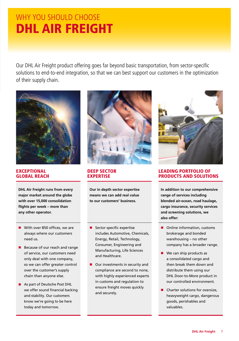## WHY YOU SHOULD CHOOSE DHL AIR FREIGHT

Our DHL Air Freight product offering goes far beyond basic transportation, from sector-specific solutions to end-to-end integration, so that we can best support our customers in the optimization of their supply chain.



EXCEPTIONAL GLOBAL REACH

**DHL Air Freight runs from every major market around the globe with over 15,000 consolidation flights per week – more than any other operator.**

- $\blacksquare$  With over 850 offices, we are always where our customers need us.
- $\blacksquare$  Because of our reach and range of service, our customers need only deal with one company, so we can offer greater control over the customer's supply chain than anyone else.
- **n** As part of Deutsche Post DHL we offer sound financial backing and stability. Our customers know we're going to be here today and tomorrow.



## DEEP SECTOR **EXPERTISE**

**Our in depth sector expertise means we can add real value to our customers' business.**

- $\blacksquare$  Sector specific expertise includes Automotive, Chemicals, Energy, Retail, Technology, Consumer, Engineering and Manufacturing, Life Sciences and Healthcare.
- $\blacksquare$  Our investments in security and compliance are second to none, with highly experienced experts in customs and regulation to ensure freight moves quickly and securely.



## LEADING PORTFOLIO OF PRODUCTS AND SOLUTIONS

**In addition to our comprehensive range of services including blended air-ocean, road haulage, cargo insurance, security services and screening solutions, we also offer:**

- $\blacksquare$  Online information, customs brokerage and bonded warehousing – no other company has a broader range.
- $\blacksquare$  We can ship products as a consolidated cargo and then break them down and distribute them using our DHL Door-to-More product in our controlled environment.
- $\blacksquare$  Charter solutions for oversize, heavyweight cargo, dangerous goods, perishables and valuables.